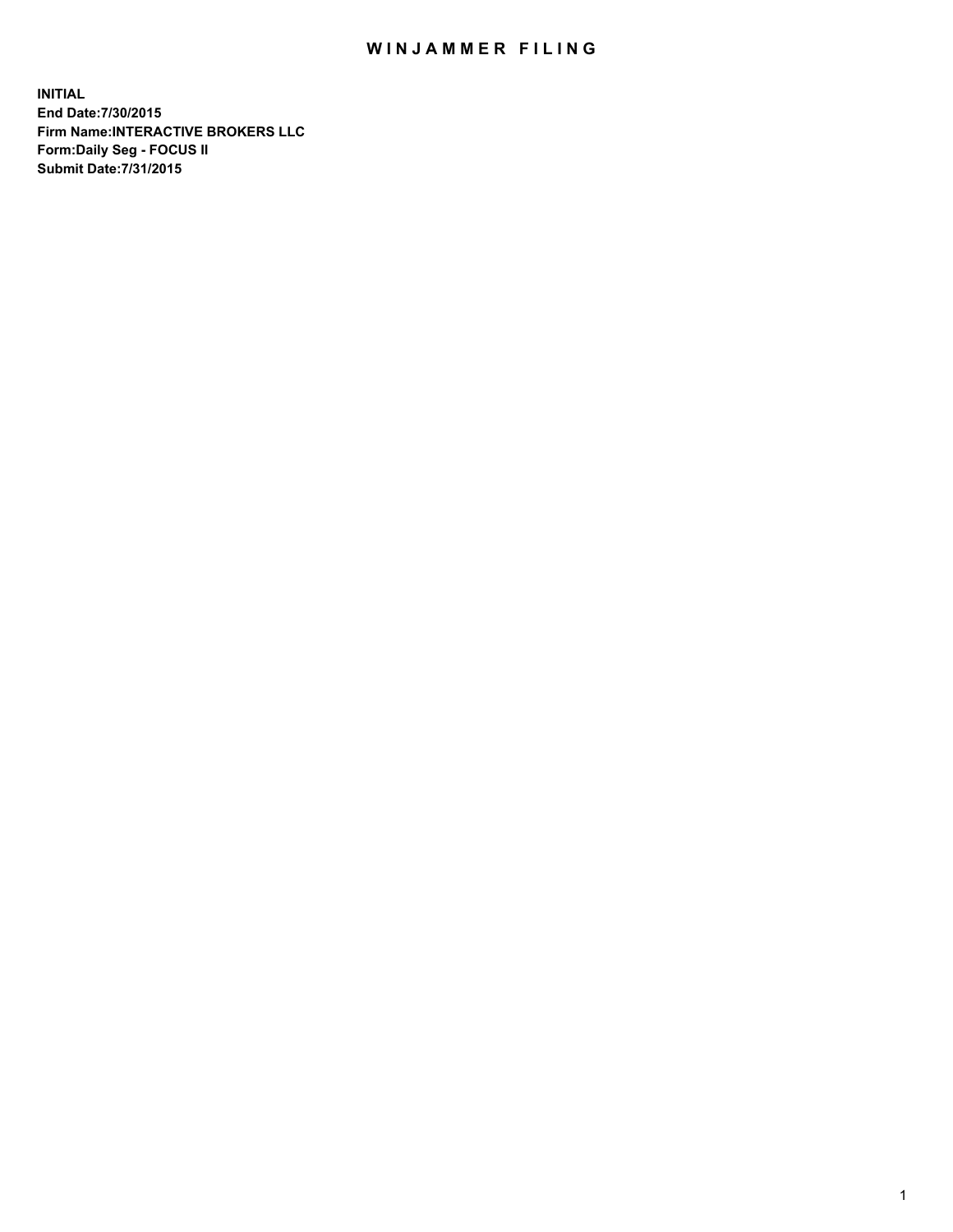## WIN JAMMER FILING

**INITIAL End Date:7/30/2015 Firm Name:INTERACTIVE BROKERS LLC Form:Daily Seg - FOCUS II Submit Date:7/31/2015**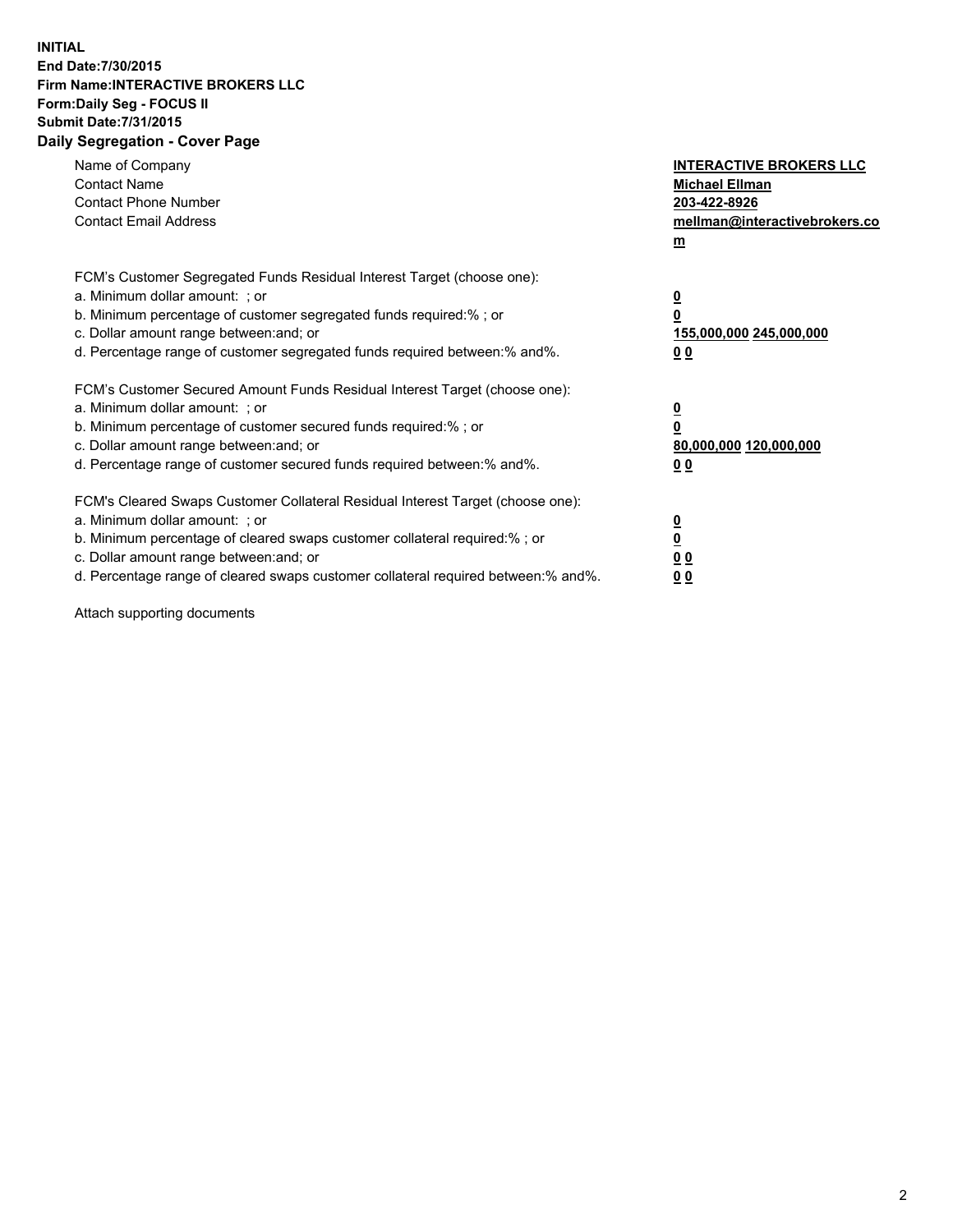## **INITIAL End Date:7/30/2015 Firm Name:INTERACTIVE BROKERS LLC Form:Daily Seg - FOCUS II Submit Date:7/31/2015 Daily Segregation - Cover Page**

| Name of Company<br><b>Contact Name</b><br><b>Contact Phone Number</b><br><b>Contact Email Address</b>                                                                                                                                                                                                                          | <b>INTERACTIVE BROKERS LLC</b><br><b>Michael Ellman</b><br>203-422-8926<br>mellman@interactivebrokers.co<br>$m$ |
|--------------------------------------------------------------------------------------------------------------------------------------------------------------------------------------------------------------------------------------------------------------------------------------------------------------------------------|-----------------------------------------------------------------------------------------------------------------|
| FCM's Customer Segregated Funds Residual Interest Target (choose one):<br>a. Minimum dollar amount: ; or<br>b. Minimum percentage of customer segregated funds required:% ; or<br>c. Dollar amount range between: and; or<br>d. Percentage range of customer segregated funds required between: % and %.                       | $\overline{\mathbf{0}}$<br>0<br>155,000,000 245,000,000<br>00                                                   |
| FCM's Customer Secured Amount Funds Residual Interest Target (choose one):<br>a. Minimum dollar amount: ; or<br>b. Minimum percentage of customer secured funds required:%; or<br>c. Dollar amount range between: and; or<br>d. Percentage range of customer secured funds required between: % and %.                          | $\overline{\mathbf{0}}$<br>0<br>80,000,000 120,000,000<br>0 <sub>0</sub>                                        |
| FCM's Cleared Swaps Customer Collateral Residual Interest Target (choose one):<br>a. Minimum dollar amount: ; or<br>b. Minimum percentage of cleared swaps customer collateral required:% ; or<br>c. Dollar amount range between: and; or<br>d. Percentage range of cleared swaps customer collateral required between:% and%. | $\overline{\mathbf{0}}$<br>$\underline{\mathbf{0}}$<br>0 <sub>0</sub><br>0 <sub>0</sub>                         |

Attach supporting documents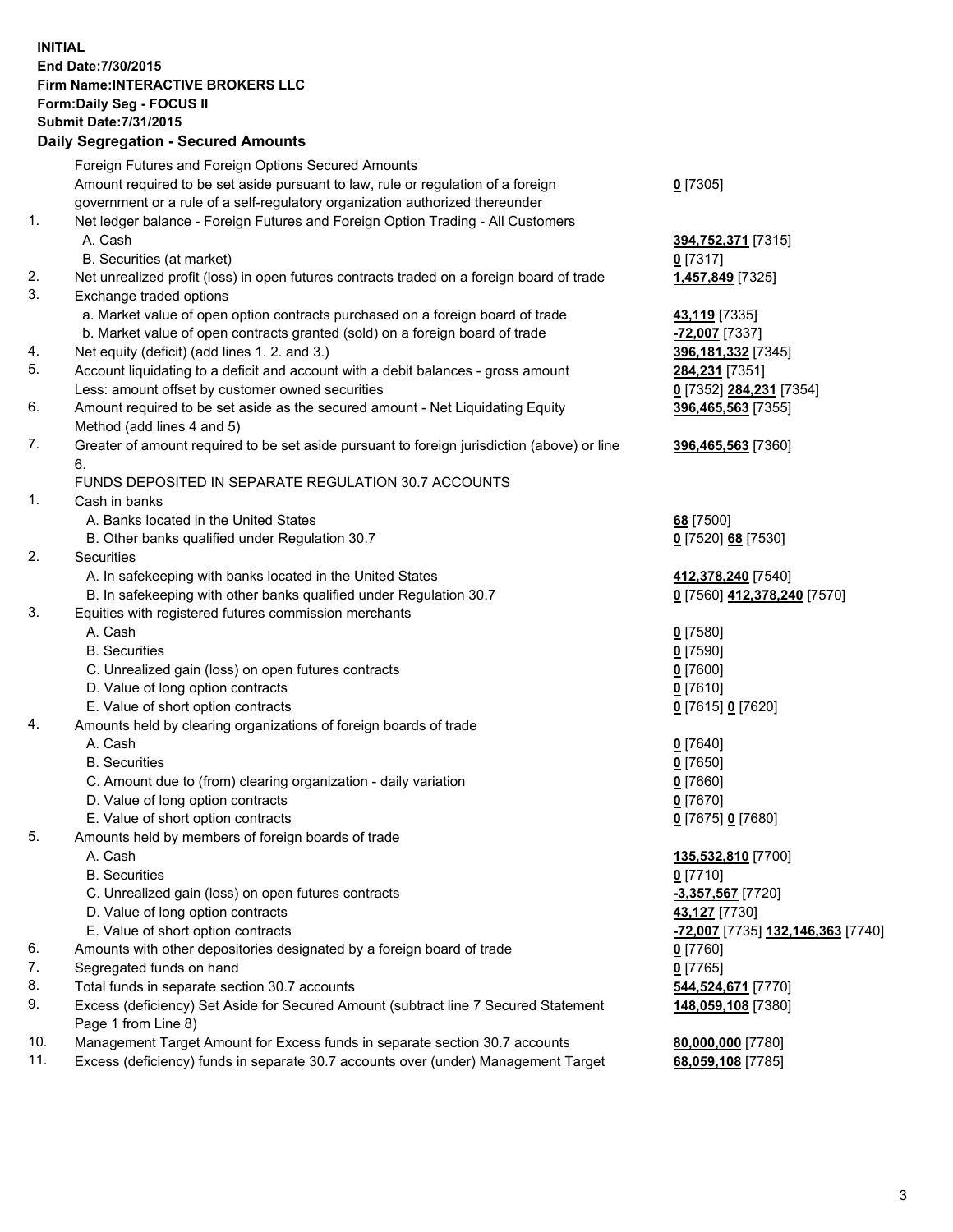## **INITIAL End Date:7/30/2015 Firm Name:INTERACTIVE BROKERS LLC Form:Daily Seg - FOCUS II Submit Date:7/31/2015 Daily Segregation - Secured Amounts**

|     | $-$ 0.000 $-$ 0.000 $-$ 0.000 $-$ 0.000 $-$ 0.000 $-$ 0.000 $-$ 0.000 $-$ 0.000 $-$ 0.000 $-$ 0.000 $-$ 0.000 $-$ 0.000 $-$ 0.000 $-$ 0.000 $-$ 0.000 $-$ 0.000 $-$ 0.000 $-$ 0.000 $-$ 0.000 $-$ 0.000 $-$ 0.000 $-$ 0.000 |                                   |
|-----|-----------------------------------------------------------------------------------------------------------------------------------------------------------------------------------------------------------------------------|-----------------------------------|
|     | Foreign Futures and Foreign Options Secured Amounts                                                                                                                                                                         |                                   |
|     | Amount required to be set aside pursuant to law, rule or regulation of a foreign                                                                                                                                            | $0$ [7305]                        |
|     | government or a rule of a self-regulatory organization authorized thereunder                                                                                                                                                |                                   |
| 1.  | Net ledger balance - Foreign Futures and Foreign Option Trading - All Customers                                                                                                                                             |                                   |
|     | A. Cash                                                                                                                                                                                                                     | 394,752,371 [7315]                |
|     | B. Securities (at market)                                                                                                                                                                                                   | $0$ [7317]                        |
| 2.  | Net unrealized profit (loss) in open futures contracts traded on a foreign board of trade                                                                                                                                   | 1,457,849 [7325]                  |
| 3.  | Exchange traded options                                                                                                                                                                                                     |                                   |
|     | a. Market value of open option contracts purchased on a foreign board of trade                                                                                                                                              | 43,119 [7335]                     |
|     | b. Market value of open contracts granted (sold) on a foreign board of trade                                                                                                                                                | -72,007 [7337]                    |
| 4.  | Net equity (deficit) (add lines 1.2. and 3.)                                                                                                                                                                                | 396,181,332 [7345]                |
| 5.  | Account liquidating to a deficit and account with a debit balances - gross amount                                                                                                                                           | 284,231 [7351]                    |
|     | Less: amount offset by customer owned securities                                                                                                                                                                            | 0 [7352] 284,231 [7354]           |
| 6.  | Amount required to be set aside as the secured amount - Net Liquidating Equity                                                                                                                                              | 396,465,563 [7355]                |
|     | Method (add lines 4 and 5)                                                                                                                                                                                                  |                                   |
| 7.  | Greater of amount required to be set aside pursuant to foreign jurisdiction (above) or line                                                                                                                                 |                                   |
|     | 6.                                                                                                                                                                                                                          | 396,465,563 [7360]                |
|     | FUNDS DEPOSITED IN SEPARATE REGULATION 30.7 ACCOUNTS                                                                                                                                                                        |                                   |
| 1.  | Cash in banks                                                                                                                                                                                                               |                                   |
|     | A. Banks located in the United States                                                                                                                                                                                       |                                   |
|     |                                                                                                                                                                                                                             | 68 [7500]                         |
| 2.  | B. Other banks qualified under Regulation 30.7<br>Securities                                                                                                                                                                | 0 [7520] 68 [7530]                |
|     |                                                                                                                                                                                                                             |                                   |
|     | A. In safekeeping with banks located in the United States                                                                                                                                                                   | 412,378,240 [7540]                |
|     | B. In safekeeping with other banks qualified under Regulation 30.7                                                                                                                                                          | 0 [7560] 412,378,240 [7570]       |
| 3.  | Equities with registered futures commission merchants                                                                                                                                                                       |                                   |
|     | A. Cash                                                                                                                                                                                                                     | $0$ [7580]                        |
|     | <b>B.</b> Securities                                                                                                                                                                                                        | $0$ [7590]                        |
|     | C. Unrealized gain (loss) on open futures contracts                                                                                                                                                                         | $0$ [7600]                        |
|     | D. Value of long option contracts                                                                                                                                                                                           | $0$ [7610]                        |
|     | E. Value of short option contracts                                                                                                                                                                                          | 0 [7615] 0 [7620]                 |
| 4.  | Amounts held by clearing organizations of foreign boards of trade                                                                                                                                                           |                                   |
|     | A. Cash                                                                                                                                                                                                                     | $0$ [7640]                        |
|     | <b>B.</b> Securities                                                                                                                                                                                                        | $0$ [7650]                        |
|     | C. Amount due to (from) clearing organization - daily variation                                                                                                                                                             | $0$ [7660]                        |
|     | D. Value of long option contracts                                                                                                                                                                                           | $0$ [7670]                        |
|     | E. Value of short option contracts                                                                                                                                                                                          | 0 [7675] 0 [7680]                 |
| 5.  | Amounts held by members of foreign boards of trade                                                                                                                                                                          |                                   |
|     | A. Cash                                                                                                                                                                                                                     | 135,532,810 [7700]                |
|     | <b>B.</b> Securities                                                                                                                                                                                                        | $0$ [7710]                        |
|     | C. Unrealized gain (loss) on open futures contracts                                                                                                                                                                         | -3,357,567 [7720]                 |
|     | D. Value of long option contracts                                                                                                                                                                                           | 43,127 [7730]                     |
|     | E. Value of short option contracts                                                                                                                                                                                          | -72,007 [7735] 132,146,363 [7740] |
| 6.  | Amounts with other depositories designated by a foreign board of trade                                                                                                                                                      | $0$ [7760]                        |
| 7.  | Segregated funds on hand                                                                                                                                                                                                    | $0$ [7765]                        |
| 8.  | Total funds in separate section 30.7 accounts                                                                                                                                                                               | 544,524,671 [7770]                |
| 9.  | Excess (deficiency) Set Aside for Secured Amount (subtract line 7 Secured Statement                                                                                                                                         | 148,059,108 [7380]                |
|     | Page 1 from Line 8)                                                                                                                                                                                                         |                                   |
| 10. | Management Target Amount for Excess funds in separate section 30.7 accounts                                                                                                                                                 | 80,000,000 [7780]                 |
| 11. | Excess (deficiency) funds in separate 30.7 accounts over (under) Management Target                                                                                                                                          | 68,059,108 [7785]                 |
|     |                                                                                                                                                                                                                             |                                   |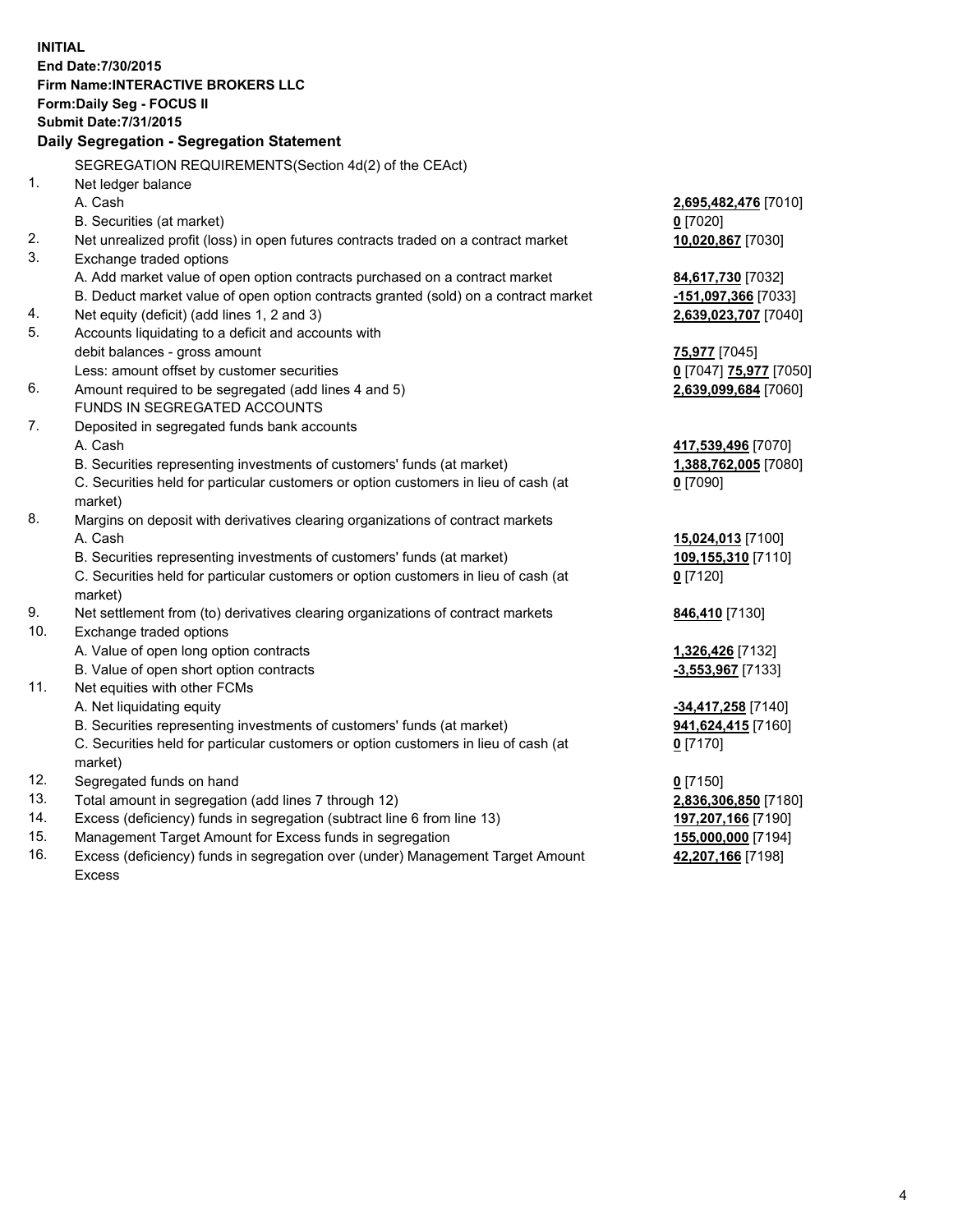**INITIAL End Date:7/30/2015 Firm Name:INTERACTIVE BROKERS LLC Form:Daily Seg - FOCUS II Submit Date:7/31/2015 Daily Segregation - Segregation Statement** SEGREGATION REQUIREMENTS(Section 4d(2) of the CEAct) 1. Net ledger balance A. Cash **2,695,482,476** [7010] B. Securities (at market) **0** [7020] 2. Net unrealized profit (loss) in open futures contracts traded on a contract market **10,020,867** [7030] 3. Exchange traded options A. Add market value of open option contracts purchased on a contract market **84,617,730** [7032] B. Deduct market value of open option contracts granted (sold) on a contract market **-151,097,366** [7033] 4. Net equity (deficit) (add lines 1, 2 and 3) **2,639,023,707** [7040] 5. Accounts liquidating to a deficit and accounts with debit balances - gross amount **75,977** [7045] Less: amount offset by customer securities **0** [7047] **75,977** [7050] 6. Amount required to be segregated (add lines 4 and 5) **2,639,099,684** [7060] FUNDS IN SEGREGATED ACCOUNTS 7. Deposited in segregated funds bank accounts A. Cash **417,539,496** [7070] B. Securities representing investments of customers' funds (at market) **1,388,762,005** [7080] C. Securities held for particular customers or option customers in lieu of cash (at market) **0** [7090] 8. Margins on deposit with derivatives clearing organizations of contract markets A. Cash **15,024,013** [7100] B. Securities representing investments of customers' funds (at market) **109,155,310** [7110] C. Securities held for particular customers or option customers in lieu of cash (at market) **0** [7120] 9. Net settlement from (to) derivatives clearing organizations of contract markets **846,410** [7130] 10. Exchange traded options A. Value of open long option contracts **1,326,426** [7132] B. Value of open short option contracts **-3,553,967** [7133] 11. Net equities with other FCMs A. Net liquidating equity **-34,417,258** [7140] B. Securities representing investments of customers' funds (at market) **941,624,415** [7160] C. Securities held for particular customers or option customers in lieu of cash (at market) **0** [7170] 12. Segregated funds on hand **0** [7150] 13. Total amount in segregation (add lines 7 through 12) **2,836,306,850** [7180] 14. Excess (deficiency) funds in segregation (subtract line 6 from line 13) **197,207,166** [7190] 15. Management Target Amount for Excess funds in segregation **155,000,000** [7194]

16. Excess (deficiency) funds in segregation over (under) Management Target Amount Excess

**42,207,166** [7198]